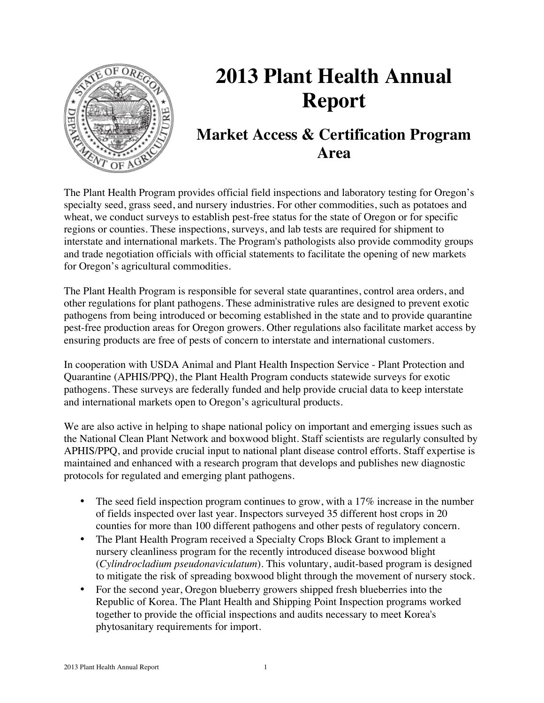

# **2013 Plant Health Annual Report**

# **Market Access & Certification Program Area**

The Plant Health Program provides official field inspections and laboratory testing for Oregon's specialty seed, grass seed, and nursery industries. For other commodities, such as potatoes and wheat, we conduct surveys to establish pest-free status for the state of Oregon or for specific regions or counties. These inspections, surveys, and lab tests are required for shipment to interstate and international markets. The Program's pathologists also provide commodity groups and trade negotiation officials with official statements to facilitate the opening of new markets for Oregon's agricultural commodities.

The Plant Health Program is responsible for several state quarantines, control area orders, and other regulations for plant pathogens. These administrative rules are designed to prevent exotic pathogens from being introduced or becoming established in the state and to provide quarantine pest-free production areas for Oregon growers. Other regulations also facilitate market access by ensuring products are free of pests of concern to interstate and international customers.

In cooperation with USDA Animal and Plant Health Inspection Service - Plant Protection and Quarantine (APHIS/PPQ), the Plant Health Program conducts statewide surveys for exotic pathogens. These surveys are federally funded and help provide crucial data to keep interstate and international markets open to Oregon's agricultural products.

We are also active in helping to shape national policy on important and emerging issues such as the National Clean Plant Network and boxwood blight. Staff scientists are regularly consulted by APHIS/PPQ, and provide crucial input to national plant disease control efforts. Staff expertise is maintained and enhanced with a research program that develops and publishes new diagnostic protocols for regulated and emerging plant pathogens.

- The seed field inspection program continues to grow, with a 17% increase in the number of fields inspected over last year. Inspectors surveyed 35 different host crops in 20 counties for more than 100 different pathogens and other pests of regulatory concern.
- The Plant Health Program received a Specialty Crops Block Grant to implement a nursery cleanliness program for the recently introduced disease boxwood blight (*Cylindrocladium pseudonaviculatum*). This voluntary, audit-based program is designed to mitigate the risk of spreading boxwood blight through the movement of nursery stock.
- For the second year, Oregon blueberry growers shipped fresh blueberries into the Republic of Korea. The Plant Health and Shipping Point Inspection programs worked together to provide the official inspections and audits necessary to meet Korea's phytosanitary requirements for import.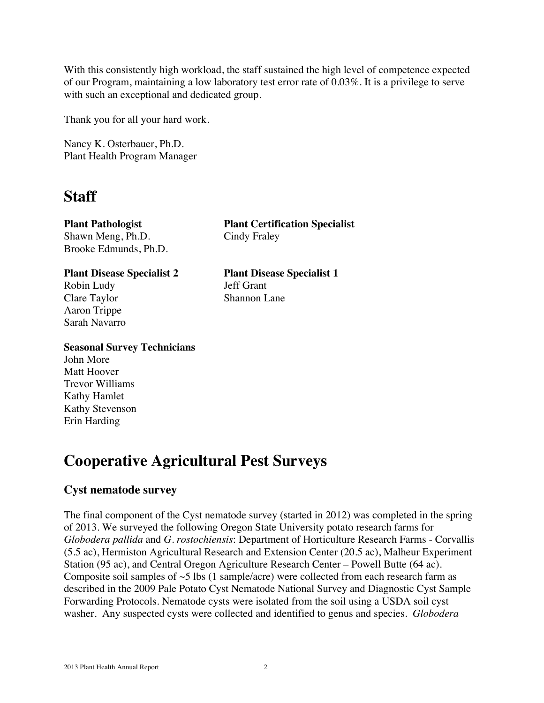With this consistently high workload, the staff sustained the high level of competence expected of our Program, maintaining a low laboratory test error rate of 0.03%. It is a privilege to serve with such an exceptional and dedicated group.

Thank you for all your hard work.

Nancy K. Osterbauer, Ph.D. Plant Health Program Manager

# **Staff**

Shawn Meng, Ph.D. Cindy Fraley Brooke Edmunds, Ph.D.

Robin Ludy Jeff Grant Clare Taylor Shannon Lane Aaron Trippe Sarah Navarro

**Plant Pathologist Plant Certification Specialist**

**Plant Disease Specialist 2 Plant Disease Specialist 1**

#### **Seasonal Survey Technicians**

John More Matt Hoover Trevor Williams Kathy Hamlet Kathy Stevenson Erin Harding

# **Cooperative Agricultural Pest Surveys**

# **Cyst nematode survey**

The final component of the Cyst nematode survey (started in 2012) was completed in the spring of 2013. We surveyed the following Oregon State University potato research farms for *Globodera pallida* and *G. rostochiensis*: Department of Horticulture Research Farms - Corvallis (5.5 ac), Hermiston Agricultural Research and Extension Center (20.5 ac), Malheur Experiment Station (95 ac), and Central Oregon Agriculture Research Center – Powell Butte (64 ac). Composite soil samples of  $\sim$ 5 lbs (1 sample/acre) were collected from each research farm as described in the 2009 Pale Potato Cyst Nematode National Survey and Diagnostic Cyst Sample Forwarding Protocols. Nematode cysts were isolated from the soil using a USDA soil cyst washer. Any suspected cysts were collected and identified to genus and species. *Globodera*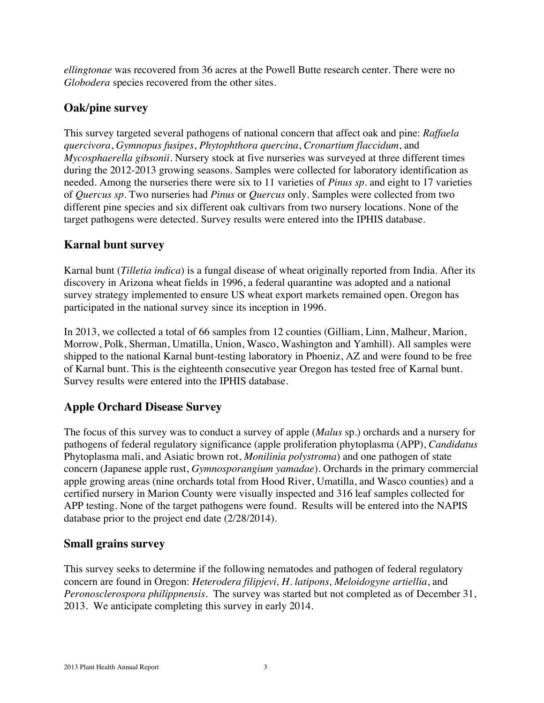*ellingtonae* was recovered from 36 acres at the Powell Butte research center. There were no *Globodera* species recovered from the other sites.

# **Oak/pine survey**

This survey targeted several pathogens of national concern that affect oak and pine: *Raffaela quercivora*, *Gymnopus fusipes*, *Phytophthora quercina*, *Cronartium flaccidum*, and *Mycosphaerella gibsonii*. Nursery stock at five nurseries was surveyed at three different times during the 2012-2013 growing seasons. Samples were collected for laboratory identification as needed. Among the nurseries there were six to 11 varieties of *Pinus sp.* and eight to 17 varieties of *Quercus sp*. Two nurseries had *Pinus* or *Quercus* only. Samples were collected from two different pine species and six different oak cultivars from two nursery locations. None of the target pathogens were detected. Survey results were entered into the IPHIS database.

# **Karnal bunt survey**

Karnal bunt (*Tilletia indica*) is a fungal disease of wheat originally reported from India. After its discovery in Arizona wheat fields in 1996, a federal quarantine was adopted and a national survey strategy implemented to ensure US wheat export markets remained open. Oregon has participated in the national survey since its inception in 1996.

In 2013, we collected a total of 66 samples from 12 counties (Gilliam, Linn, Malheur, Marion, Morrow, Polk, Sherman, Umatilla, Union, Wasco, Washington and Yamhill). All samples were shipped to the national Karnal bunt-testing laboratory in Phoeniz, AZ and were found to be free of Karnal bunt. This is the eighteenth consecutive year Oregon has tested free of Karnal bunt. Survey results were entered into the IPHIS database.

# **Apple Orchard Disease Survey**

The focus of this survey was to conduct a survey of apple (*Malus* sp.) orchards and a nursery for pathogens of federal regulatory significance (apple proliferation phytoplasma (APP), *Candidatus* Phytoplasma mali, and Asiatic brown rot, *Monilinia polystroma*) and one pathogen of state concern (Japanese apple rust, *Gymnosporangium yamadae*). Orchards in the primary commercial apple growing areas (nine orchards total from Hood River, Umatilla, and Wasco counties) and a certified nursery in Marion County were visually inspected and 316 leaf samples collected for APP testing. None of the target pathogens were found. Results will be entered into the NAPIS database prior to the project end date (2/28/2014).

# **Small grains survey**

This survey seeks to determine if the following nematodes and pathogen of federal regulatory concern are found in Oregon: *Heterodera filipjevi, H. latipons, Meloidogyne artiellia*, and *Peronosclerospora philippnensis*. The survey was started but not completed as of December 31, 2013. We anticipate completing this survey in early 2014.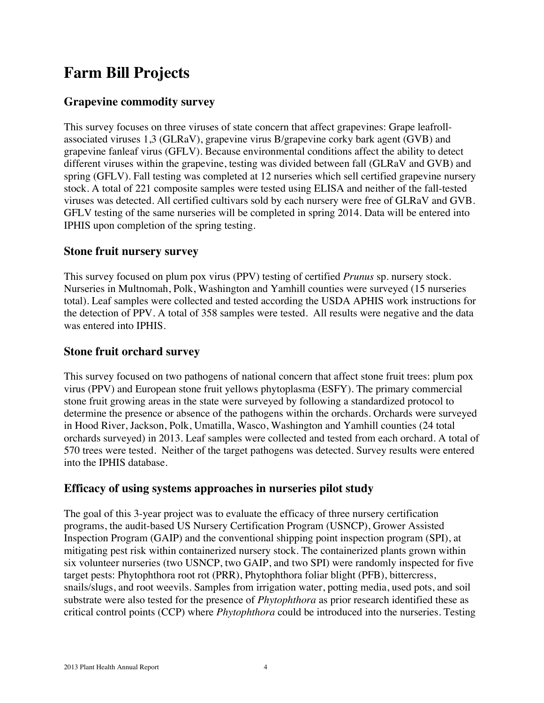# **Farm Bill Projects**

# **Grapevine commodity survey**

This survey focuses on three viruses of state concern that affect grapevines: Grape leafrollassociated viruses 1,3 (GLRaV), grapevine virus B/grapevine corky bark agent (GVB) and grapevine fanleaf virus (GFLV). Because environmental conditions affect the ability to detect different viruses within the grapevine, testing was divided between fall (GLRaV and GVB) and spring (GFLV). Fall testing was completed at 12 nurseries which sell certified grapevine nursery stock. A total of 221 composite samples were tested using ELISA and neither of the fall-tested viruses was detected. All certified cultivars sold by each nursery were free of GLRaV and GVB. GFLV testing of the same nurseries will be completed in spring 2014. Data will be entered into IPHIS upon completion of the spring testing.

### **Stone fruit nursery survey**

This survey focused on plum pox virus (PPV) testing of certified *Prunus* sp. nursery stock. Nurseries in Multnomah, Polk, Washington and Yamhill counties were surveyed (15 nurseries total). Leaf samples were collected and tested according the USDA APHIS work instructions for the detection of PPV. A total of 358 samples were tested. All results were negative and the data was entered into IPHIS.

### **Stone fruit orchard survey**

This survey focused on two pathogens of national concern that affect stone fruit trees: plum pox virus (PPV) and European stone fruit yellows phytoplasma (ESFY). The primary commercial stone fruit growing areas in the state were surveyed by following a standardized protocol to determine the presence or absence of the pathogens within the orchards. Orchards were surveyed in Hood River, Jackson, Polk, Umatilla, Wasco, Washington and Yamhill counties (24 total orchards surveyed) in 2013. Leaf samples were collected and tested from each orchard. A total of 570 trees were tested. Neither of the target pathogens was detected. Survey results were entered into the IPHIS database.

#### **Efficacy of using systems approaches in nurseries pilot study**

The goal of this 3-year project was to evaluate the efficacy of three nursery certification programs, the audit-based US Nursery Certification Program (USNCP), Grower Assisted Inspection Program (GAIP) and the conventional shipping point inspection program (SPI), at mitigating pest risk within containerized nursery stock. The containerized plants grown within six volunteer nurseries (two USNCP, two GAIP, and two SPI) were randomly inspected for five target pests: Phytophthora root rot (PRR), Phytophthora foliar blight (PFB), bittercress, snails/slugs, and root weevils. Samples from irrigation water, potting media, used pots, and soil substrate were also tested for the presence of *Phytophthora* as prior research identified these as critical control points (CCP) where *Phytophthora* could be introduced into the nurseries. Testing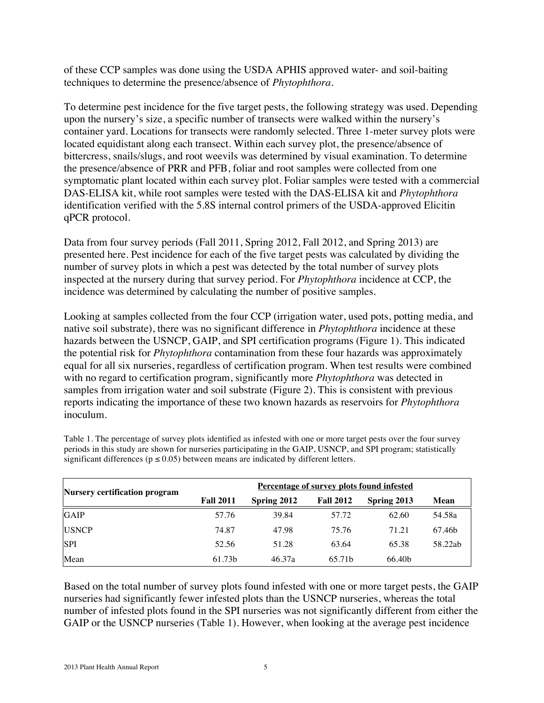of these CCP samples was done using the USDA APHIS approved water- and soil-baiting techniques to determine the presence/absence of *Phytophthora*.

To determine pest incidence for the five target pests, the following strategy was used. Depending upon the nursery's size, a specific number of transects were walked within the nursery's container yard. Locations for transects were randomly selected. Three 1-meter survey plots were located equidistant along each transect. Within each survey plot, the presence/absence of bittercress, snails/slugs, and root weevils was determined by visual examination. To determine the presence/absence of PRR and PFB, foliar and root samples were collected from one symptomatic plant located within each survey plot. Foliar samples were tested with a commercial DAS-ELISA kit, while root samples were tested with the DAS-ELISA kit and *Phytophthora* identification verified with the 5.8S internal control primers of the USDA-approved Elicitin qPCR protocol.

Data from four survey periods (Fall 2011, Spring 2012, Fall 2012, and Spring 2013) are presented here. Pest incidence for each of the five target pests was calculated by dividing the number of survey plots in which a pest was detected by the total number of survey plots inspected at the nursery during that survey period. For *Phytophthora* incidence at CCP, the incidence was determined by calculating the number of positive samples.

Looking at samples collected from the four CCP (irrigation water, used pots, potting media, and native soil substrate), there was no significant difference in *Phytophthora* incidence at these hazards between the USNCP, GAIP, and SPI certification programs (Figure 1). This indicated the potential risk for *Phytophthora* contamination from these four hazards was approximately equal for all six nurseries, regardless of certification program. When test results were combined with no regard to certification program, significantly more *Phytophthora* was detected in samples from irrigation water and soil substrate (Figure 2). This is consistent with previous reports indicating the importance of these two known hazards as reservoirs for *Phytophthora* inoculum.

|                               | Percentage of survey plots found infested |             |                  |             |         |  |  |
|-------------------------------|-------------------------------------------|-------------|------------------|-------------|---------|--|--|
| Nursery certification program | <b>Fall 2011</b>                          | Spring 2012 | <b>Fall 2012</b> | Spring 2013 | Mean    |  |  |
| <b>GAIP</b>                   | 57.76                                     | 39.84       | 57.72            | 62.60       | 54.58a  |  |  |
| <b>USNCP</b>                  | 74.87                                     | 47.98       | 75.76            | 71.21       | 67.46b  |  |  |
| <b>SPI</b>                    | 52.56                                     | 51.28       | 63.64            | 65.38       | 58.22ab |  |  |
| Mean                          | 61.73b                                    | 46.37a      | 65.71b           | 66.40b      |         |  |  |

Table 1. The percentage of survey plots identified as infested with one or more target pests over the four survey periods in this study are shown for nurseries participating in the GAIP, USNCP, and SPI program; statistically significant differences ( $p \le 0.05$ ) between means are indicated by different letters.

Based on the total number of survey plots found infested with one or more target pests, the GAIP nurseries had significantly fewer infested plots than the USNCP nurseries, whereas the total number of infested plots found in the SPI nurseries was not significantly different from either the GAIP or the USNCP nurseries (Table 1). However, when looking at the average pest incidence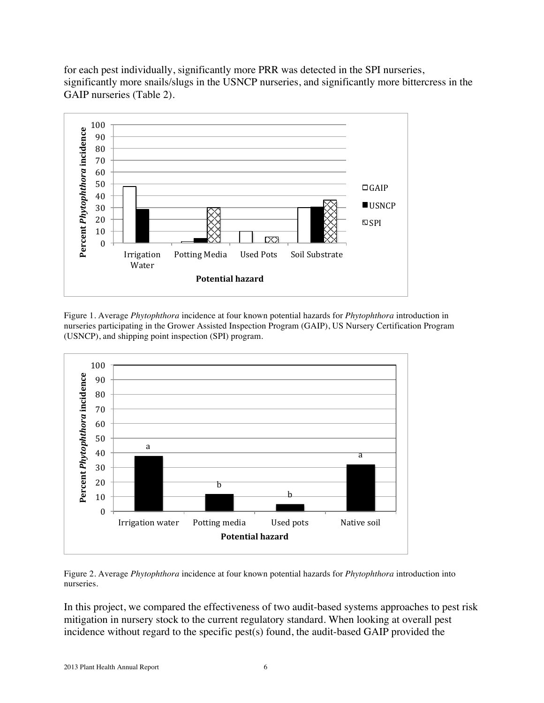

for each pest individually, significantly more PRR was detected in the SPI nurseries, significantly more snails/slugs in the USNCP nurseries, and significantly more bittercress in the GAIP nurseries (Table 2).

Figure 1. Average *Phytophthora* incidence at four known potential hazards for *Phytophthora* introduction in nurseries participating in the Grower Assisted Inspection Program (GAIP), US Nursery Certification Program (USNCP), and shipping point inspection (SPI) program.



Figure 2. Average *Phytophthora* incidence at four known potential hazards for *Phytophthora* introduction into nurseries.

In this project, we compared the effectiveness of two audit-based systems approaches to pest risk mitigation in nursery stock to the current regulatory standard. When looking at overall pest incidence without regard to the specific pest(s) found, the audit-based GAIP provided the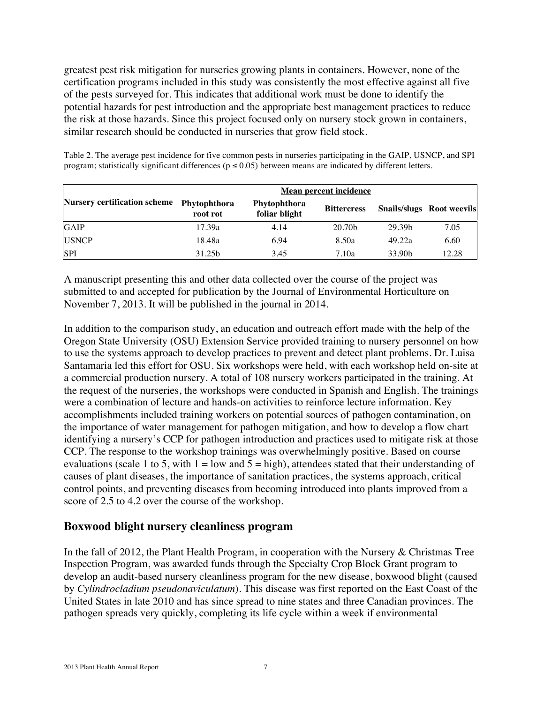greatest pest risk mitigation for nurseries growing plants in containers. However, none of the certification programs included in this study was consistently the most effective against all five of the pests surveyed for. This indicates that additional work must be done to identify the potential hazards for pest introduction and the appropriate best management practices to reduce the risk at those hazards. Since this project focused only on nursery stock grown in containers, similar research should be conducted in nurseries that grow field stock.

Table 2. The average pest incidence for five common pests in nurseries participating in the GAIP, USNCP, and SPI program; statistically significant differences ( $p \le 0.05$ ) between means are indicated by different letters.

|                              | Mean percent incidence                                    |      |                    |                    |                                  |  |  |
|------------------------------|-----------------------------------------------------------|------|--------------------|--------------------|----------------------------------|--|--|
| Nursery certification scheme | Phytophthora<br>Phytophthora<br>foliar blight<br>root rot |      | <b>Bittercress</b> |                    | <b>Snails/slugs Root weevils</b> |  |  |
| <b>GAIP</b>                  | 17.39a                                                    | 4.14 | 20.70b             | 29.39b             | 7.05                             |  |  |
| <b>USNCP</b>                 | 18.48a                                                    | 6.94 | 8.50a              | 49.22a             | 6.60                             |  |  |
| <b>SPI</b>                   | 31.25b                                                    | 3.45 | 7.10a              | 33.90 <sub>b</sub> | 12.28                            |  |  |

A manuscript presenting this and other data collected over the course of the project was submitted to and accepted for publication by the Journal of Environmental Horticulture on November 7, 2013. It will be published in the journal in 2014.

In addition to the comparison study, an education and outreach effort made with the help of the Oregon State University (OSU) Extension Service provided training to nursery personnel on how to use the systems approach to develop practices to prevent and detect plant problems. Dr. Luisa Santamaria led this effort for OSU. Six workshops were held, with each workshop held on-site at a commercial production nursery. A total of 108 nursery workers participated in the training. At the request of the nurseries, the workshops were conducted in Spanish and English. The trainings were a combination of lecture and hands-on activities to reinforce lecture information. Key accomplishments included training workers on potential sources of pathogen contamination, on the importance of water management for pathogen mitigation, and how to develop a flow chart identifying a nursery's CCP for pathogen introduction and practices used to mitigate risk at those CCP. The response to the workshop trainings was overwhelmingly positive. Based on course evaluations (scale 1 to 5, with  $1 =$  low and  $5 =$  high), attendees stated that their understanding of causes of plant diseases, the importance of sanitation practices, the systems approach, critical control points, and preventing diseases from becoming introduced into plants improved from a score of 2.5 to 4.2 over the course of the workshop.

#### **Boxwood blight nursery cleanliness program**

In the fall of 2012, the Plant Health Program, in cooperation with the Nursery & Christmas Tree Inspection Program, was awarded funds through the Specialty Crop Block Grant program to develop an audit-based nursery cleanliness program for the new disease, boxwood blight (caused by *Cylindrocladium pseudonaviculatum*). This disease was first reported on the East Coast of the United States in late 2010 and has since spread to nine states and three Canadian provinces. The pathogen spreads very quickly, completing its life cycle within a week if environmental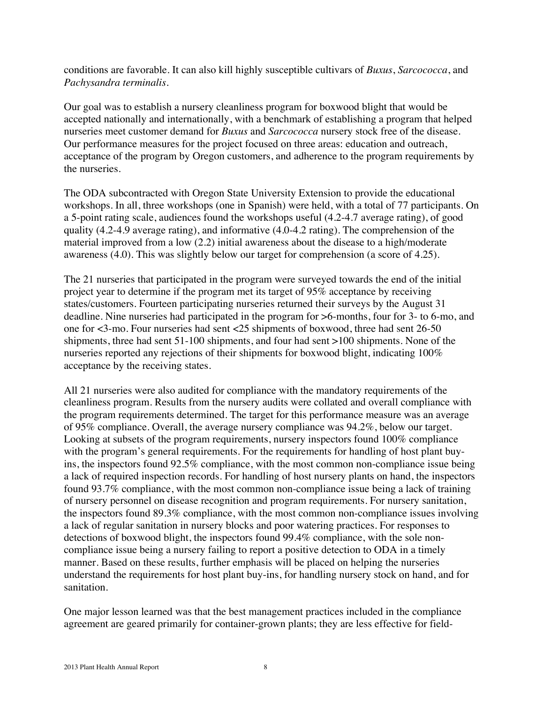conditions are favorable. It can also kill highly susceptible cultivars of *Buxus*, *Sarcococca*, and *Pachysandra terminalis*.

Our goal was to establish a nursery cleanliness program for boxwood blight that would be accepted nationally and internationally, with a benchmark of establishing a program that helped nurseries meet customer demand for *Buxus* and *Sarcococca* nursery stock free of the disease. Our performance measures for the project focused on three areas: education and outreach, acceptance of the program by Oregon customers, and adherence to the program requirements by the nurseries.

The ODA subcontracted with Oregon State University Extension to provide the educational workshops. In all, three workshops (one in Spanish) were held, with a total of 77 participants. On a 5-point rating scale, audiences found the workshops useful (4.2-4.7 average rating), of good quality (4.2-4.9 average rating), and informative (4.0-4.2 rating). The comprehension of the material improved from a low (2.2) initial awareness about the disease to a high/moderate awareness (4.0). This was slightly below our target for comprehension (a score of 4.25).

The 21 nurseries that participated in the program were surveyed towards the end of the initial project year to determine if the program met its target of 95% acceptance by receiving states/customers. Fourteen participating nurseries returned their surveys by the August 31 deadline. Nine nurseries had participated in the program for >6-months, four for 3- to 6-mo, and one for <3-mo. Four nurseries had sent <25 shipments of boxwood, three had sent 26-50 shipments, three had sent 51-100 shipments, and four had sent >100 shipments. None of the nurseries reported any rejections of their shipments for boxwood blight, indicating 100% acceptance by the receiving states.

All 21 nurseries were also audited for compliance with the mandatory requirements of the cleanliness program. Results from the nursery audits were collated and overall compliance with the program requirements determined. The target for this performance measure was an average of 95% compliance. Overall, the average nursery compliance was 94.2%, below our target. Looking at subsets of the program requirements, nursery inspectors found 100% compliance with the program's general requirements. For the requirements for handling of host plant buyins, the inspectors found 92.5% compliance, with the most common non-compliance issue being a lack of required inspection records. For handling of host nursery plants on hand, the inspectors found 93.7% compliance, with the most common non-compliance issue being a lack of training of nursery personnel on disease recognition and program requirements. For nursery sanitation, the inspectors found 89.3% compliance, with the most common non-compliance issues involving a lack of regular sanitation in nursery blocks and poor watering practices. For responses to detections of boxwood blight, the inspectors found 99.4% compliance, with the sole noncompliance issue being a nursery failing to report a positive detection to ODA in a timely manner. Based on these results, further emphasis will be placed on helping the nurseries understand the requirements for host plant buy-ins, for handling nursery stock on hand, and for sanitation.

One major lesson learned was that the best management practices included in the compliance agreement are geared primarily for container-grown plants; they are less effective for field-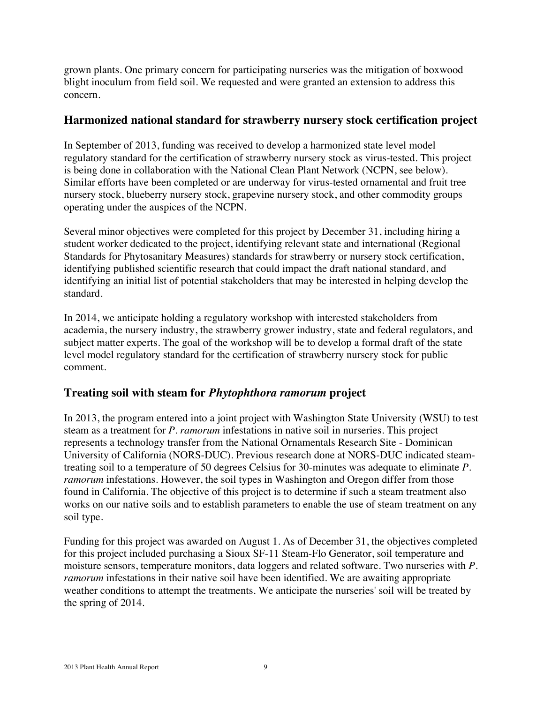grown plants. One primary concern for participating nurseries was the mitigation of boxwood blight inoculum from field soil. We requested and were granted an extension to address this concern.

### **Harmonized national standard for strawberry nursery stock certification project**

In September of 2013, funding was received to develop a harmonized state level model regulatory standard for the certification of strawberry nursery stock as virus-tested. This project is being done in collaboration with the National Clean Plant Network (NCPN, see below). Similar efforts have been completed or are underway for virus-tested ornamental and fruit tree nursery stock, blueberry nursery stock, grapevine nursery stock, and other commodity groups operating under the auspices of the NCPN.

Several minor objectives were completed for this project by December 31, including hiring a student worker dedicated to the project, identifying relevant state and international (Regional Standards for Phytosanitary Measures) standards for strawberry or nursery stock certification, identifying published scientific research that could impact the draft national standard, and identifying an initial list of potential stakeholders that may be interested in helping develop the standard.

In 2014, we anticipate holding a regulatory workshop with interested stakeholders from academia, the nursery industry, the strawberry grower industry, state and federal regulators, and subject matter experts. The goal of the workshop will be to develop a formal draft of the state level model regulatory standard for the certification of strawberry nursery stock for public comment.

# **Treating soil with steam for** *Phytophthora ramorum* **project**

In 2013, the program entered into a joint project with Washington State University (WSU) to test steam as a treatment for *P. ramorum* infestations in native soil in nurseries. This project represents a technology transfer from the National Ornamentals Research Site - Dominican University of California (NORS-DUC). Previous research done at NORS-DUC indicated steamtreating soil to a temperature of 50 degrees Celsius for 30-minutes was adequate to eliminate *P*. *ramorum* infestations. However, the soil types in Washington and Oregon differ from those found in California. The objective of this project is to determine if such a steam treatment also works on our native soils and to establish parameters to enable the use of steam treatment on any soil type.

Funding for this project was awarded on August 1. As of December 31, the objectives completed for this project included purchasing a Sioux SF-11 Steam-Flo Generator, soil temperature and moisture sensors, temperature monitors, data loggers and related software. Two nurseries with *P. ramorum* infestations in their native soil have been identified. We are awaiting appropriate weather conditions to attempt the treatments. We anticipate the nurseries' soil will be treated by the spring of 2014.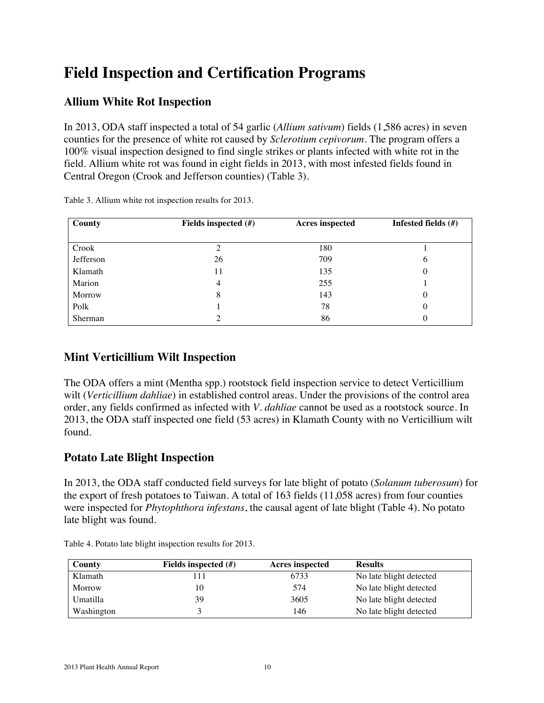# **Field Inspection and Certification Programs**

# **Allium White Rot Inspection**

In 2013, ODA staff inspected a total of 54 garlic (*Allium sativum*) fields (1,586 acres) in seven counties for the presence of white rot caused by *Sclerotium cepivorum*. The program offers a 100% visual inspection designed to find single strikes or plants infected with white rot in the field. Allium white rot was found in eight fields in 2013, with most infested fields found in Central Oregon (Crook and Jefferson counties) (Table 3).

| County    | Fields inspected $(\#)$ | <b>Acres</b> inspected | Infested fields (#) |  |
|-----------|-------------------------|------------------------|---------------------|--|
|           |                         |                        |                     |  |
| Crook     |                         | 180                    |                     |  |
| Jefferson | 26                      | 709                    | 6                   |  |
| Klamath   | 11                      | 135                    | 0                   |  |
| Marion    | 4                       | 255                    |                     |  |
| Morrow    | 8                       | 143                    | 0                   |  |
| Polk      |                         | 78                     | 0                   |  |
| Sherman   |                         | 86                     | $\theta$            |  |

Table 3. Allium white rot inspection results for 2013.

# **Mint Verticillium Wilt Inspection**

The ODA offers a mint (Mentha spp.) rootstock field inspection service to detect Verticillium wilt (*Verticillium dahliae*) in established control areas. Under the provisions of the control area order, any fields confirmed as infected with *V. dahliae* cannot be used as a rootstock source. In 2013, the ODA staff inspected one field (53 acres) in Klamath County with no Verticillium wilt found.

# **Potato Late Blight Inspection**

In 2013, the ODA staff conducted field surveys for late blight of potato (*Solanum tuberosum*) for the export of fresh potatoes to Taiwan. A total of 163 fields (11,058 acres) from four counties were inspected for *Phytophthora infestans*, the causal agent of late blight (Table 4). No potato late blight was found.

| County     | Fields inspected $(\#)$ | <b>Acres inspected</b> | <b>Results</b>          |
|------------|-------------------------|------------------------|-------------------------|
| Klamath    | 11                      | 6733                   | No late blight detected |
| Morrow     | 10                      | 574                    | No late blight detected |
| Umatilla   | 39                      | 3605                   | No late blight detected |
| Washington |                         | 146                    | No late blight detected |

Table 4. Potato late blight inspection results for 2013.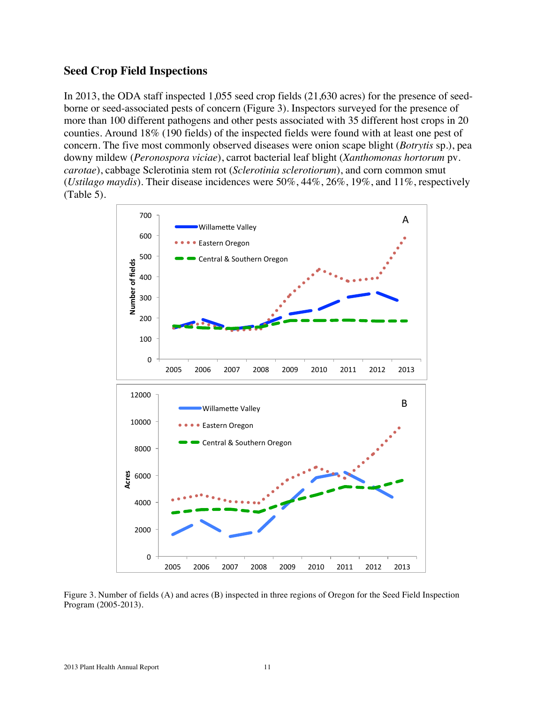#### **Seed Crop Field Inspections**

In 2013, the ODA staff inspected 1,055 seed crop fields (21,630 acres) for the presence of seedborne or seed-associated pests of concern (Figure 3). Inspectors surveyed for the presence of more than 100 different pathogens and other pests associated with 35 different host crops in 20 counties. Around 18% (190 fields) of the inspected fields were found with at least one pest of concern. The five most commonly observed diseases were onion scape blight (*Botrytis* sp.), pea downy mildew (*Peronospora viciae*), carrot bacterial leaf blight (*Xanthomonas hortorum* pv. *carotae*), cabbage Sclerotinia stem rot (*Sclerotinia sclerotiorum*), and corn common smut (*Ustilago maydis*). Their disease incidences were 50%, 44%, 26%, 19%, and 11%, respectively (Table 5).



Figure 3. Number of fields (A) and acres (B) inspected in three regions of Oregon for the Seed Field Inspection Program (2005-2013). Number of fields  $(A)$  and acres  $(B)$  inspected in three regi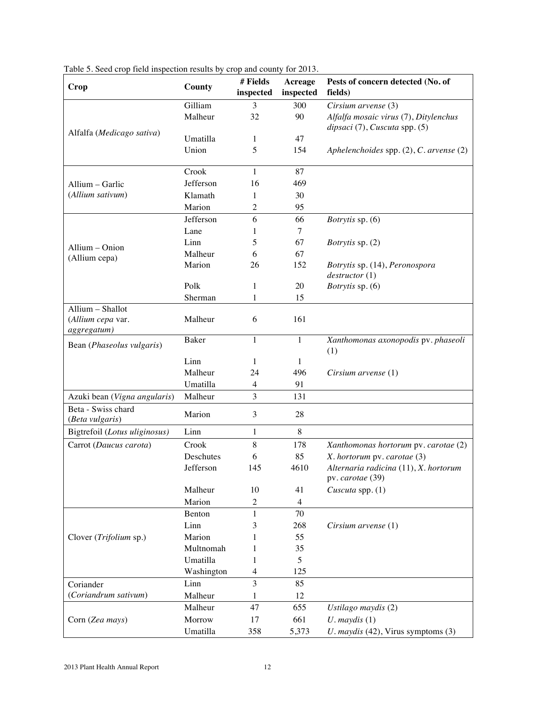| Crop                                                 | County       | # Fields<br>inspected    | Acreage<br>inspected | Pests of concern detected (No. of<br>fields)                           |
|------------------------------------------------------|--------------|--------------------------|----------------------|------------------------------------------------------------------------|
|                                                      | Gilliam      | 3                        | 300                  | Cirsium arvense (3)                                                    |
|                                                      | Malheur      | 32                       | 90                   | Alfalfa mosaic virus (7), Ditylenchus<br>dipsaci (7), Cuscuta spp. (5) |
| Alfalfa (Medicago sativa)                            | Umatilla     | 1                        | 47                   |                                                                        |
|                                                      | Union        | 5                        | 154                  | Aphelenchoides spp. $(2)$ , C. arvense $(2)$                           |
|                                                      | Crook        | 1                        | 87                   |                                                                        |
| Allium - Garlic                                      | Jefferson    | 16                       | 469                  |                                                                        |
| (Allium sativum)                                     | Klamath      | 1                        | 30                   |                                                                        |
|                                                      | Marion       | 2                        | 95                   |                                                                        |
|                                                      | Jefferson    | 6                        | 66                   | <i>Botrytis</i> sp. (6)                                                |
|                                                      | Lane         | 1                        | 7                    |                                                                        |
| Allium - Onion                                       | Linn         | 5                        | 67                   | <i>Botrytis</i> sp. (2)                                                |
| (Allium cepa)                                        | Malheur      | 6                        | 67                   |                                                                        |
|                                                      | Marion       | 26                       | 152                  | Botrytis sp. (14), Peronospora<br>destructor(1)                        |
|                                                      | Polk         | 1                        | 20                   | Botrytis sp. (6)                                                       |
|                                                      | Sherman      | $\mathbf{1}$             | 15                   |                                                                        |
| Allium - Shallot<br>(Allium cepa var.<br>aggregatum) | Malheur      | 6                        | 161                  |                                                                        |
| Bean (Phaseolus vulgaris)                            | <b>Baker</b> | 1                        | 1                    | Xanthomonas axonopodis pv. phaseoli<br>(1)                             |
|                                                      | Linn         | 1                        | 1                    |                                                                        |
|                                                      | Malheur      | 24                       | 496                  | Cirsium arvense (1)                                                    |
|                                                      | Umatilla     | 4                        | 91                   |                                                                        |
| Azuki bean (Vigna angularis)                         | Malheur      | 3                        | 131                  |                                                                        |
| Beta - Swiss chard<br>(Beta vulgaris)                | Marion       | 3                        | 28                   |                                                                        |
| Bigtrefoil (Lotus uliginosus)                        | Linn         | $\mathbf{1}$             | 8                    |                                                                        |
| Carrot (Daucus carota)                               | Crook        | 8                        | 178                  | Xanthomonas hortorum pv. carotae (2)                                   |
|                                                      | Deschutes    | 6                        | 85                   | X. hortorum pv. carotae (3)                                            |
|                                                      | Jefferson    | 145                      | 4610                 | Alternaria radicina (11), X. hortorum<br>pv. carotae (39)              |
|                                                      | Malheur      | 10                       | 41                   | Cuscuta spp. (1)                                                       |
|                                                      | Marion       | $\overline{c}$           | $\overline{4}$       |                                                                        |
|                                                      | Benton       | $\mathbf{1}$             | 70                   |                                                                        |
|                                                      | Linn         | 3                        | 268                  | Cirsium arvense (1)                                                    |
| Clover (Trifolium sp.)                               | Marion       |                          | 55                   |                                                                        |
|                                                      | Multnomah    | 1                        | 35                   |                                                                        |
|                                                      | Umatilla     | 1                        | 5                    |                                                                        |
|                                                      | Washington   | $\overline{\mathcal{L}}$ | 125                  |                                                                        |
| Coriander                                            | Linn         | 3                        | 85                   |                                                                        |
| (Coriandrum sativum)                                 | Malheur      | 1                        | 12                   |                                                                        |
|                                                      | Malheur      | 47                       | 655                  | Ustilago maydis (2)                                                    |
| Corn (Zea mays)                                      | Morrow       | 17                       | 661                  | $U$ . maydis $(1)$                                                     |
|                                                      | Umatilla     | 358                      | 5,373                | U. maydis (42), Virus symptoms (3)                                     |

Table 5. Seed crop field inspection results by crop and county for 2013.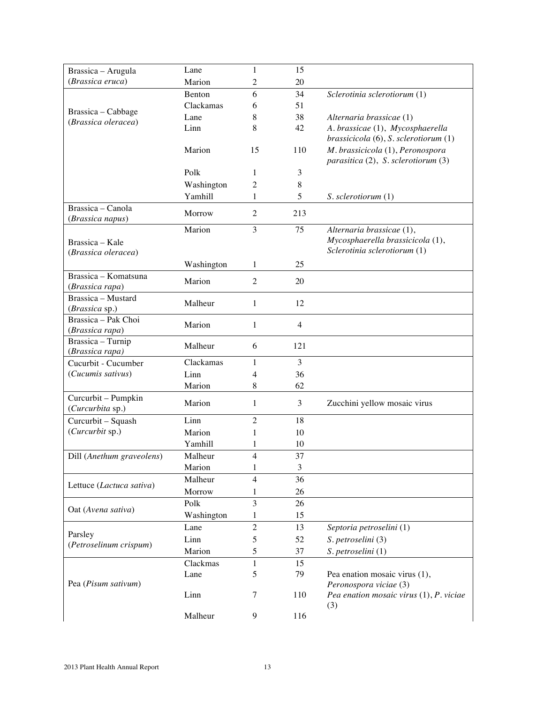| Brassica - Arugula                        | Lane       | 1              | 15             |                                                                         |
|-------------------------------------------|------------|----------------|----------------|-------------------------------------------------------------------------|
| (Brassica eruca)                          | Marion     | 2              | 20             |                                                                         |
|                                           | Benton     | 6              | 34             | Sclerotinia sclerotiorum (1)                                            |
|                                           | Clackamas  | 6              | 51             |                                                                         |
| Brassica – Cabbage<br>(Brassica oleracea) | Lane       | 8              | 38             | Alternaria brassicae (1)                                                |
|                                           | Linn       | 8              | 42             | A. brassicae (1), Mycosphaerella                                        |
|                                           |            |                |                | brassicicola (6), S. sclerotiorum (1)                                   |
|                                           | Marion     | 15             | 110            | M. brassicicola (1), Peronospora<br>parasitica (2), S. sclerotiorum (3) |
|                                           | Polk       | 1              | 3              |                                                                         |
|                                           | Washington | 2              | 8              |                                                                         |
|                                           | Yamhill    | 1              | 5              | S. sclerotiorum (1)                                                     |
| Brassica – Canola<br>(Brassica napus)     | Morrow     | $\overline{2}$ | 213            |                                                                         |
|                                           | Marion     | 3              | 75             | Alternaria brassicae (1),                                               |
| Brassica - Kale                           |            |                |                | Mycosphaerella brassicicola (1),                                        |
| (Brassica oleracea)                       |            |                |                | Sclerotinia sclerotiorum (1)                                            |
|                                           | Washington | 1              | 25             |                                                                         |
| Brassica - Komatsuna<br>(Brassica rapa)   | Marion     | $\overline{2}$ | 20             |                                                                         |
| Brassica - Mustard<br>(Brassica sp.)      | Malheur    | 1              | 12             |                                                                         |
| Brassica - Pak Choi                       |            |                |                |                                                                         |
| (Brassica rapa)                           | Marion     | 1              | $\overline{4}$ |                                                                         |
| Brassica - Turnip                         | Malheur    | 6              | 121            |                                                                         |
| (Brassica rapa)                           |            |                |                |                                                                         |
| Cucurbit - Cucumber                       | Clackamas  | 1              | 3              |                                                                         |
| (Cucumis sativus)                         | Linn       | 4              | 36             |                                                                         |
|                                           | Marion     | 8              | 62             |                                                                         |
| Curcurbit - Pumpkin<br>(Curcurbita sp.)   | Marion     | 1              | 3              | Zucchini yellow mosaic virus                                            |
| Curcurbit - Squash                        | Linn       | 2              | 18             |                                                                         |
| (Curcurbit sp.)                           | Marion     | 1              | 10             |                                                                         |
|                                           | Yamhill    | 1              | 10             |                                                                         |
| Dill (Anethum graveolens)                 | Malheur    | $\overline{4}$ | 37             |                                                                         |
|                                           | Marion     | 1              | 3              |                                                                         |
| Lettuce (Lactuca sativa)                  | Malheur    | 4              | 36             |                                                                         |
|                                           | Morrow     | 1              | 26             |                                                                         |
| Oat (Avena sativa)                        | Polk       | 3              | 26             |                                                                         |
|                                           | Washington | 1              | 15             |                                                                         |
| Parsley                                   | Lane       | $\overline{c}$ | 13             | Septoria petroselini (1)                                                |
| (Petroselinum crispum)                    | Linn       | 5              | 52             | S. petroselini (3)                                                      |
|                                           | Marion     | 5              | 37             | S. petroselini (1)                                                      |
|                                           | Clackmas   | 1              | 15             |                                                                         |
| Pea (Pisum sativum)                       | Lane       | 5              | 79             | Pea enation mosaic virus (1),<br>Peronospora viciae (3)                 |
|                                           | Linn       | 7              | 110            | Pea enation mosaic virus (1), P. viciae<br>(3)                          |
|                                           | Malheur    | 9              | 116            |                                                                         |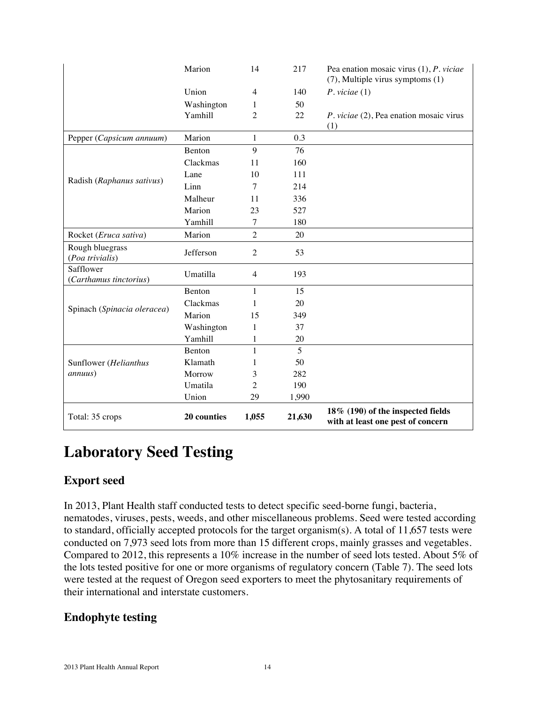|                                     | Marion        | 14             | 217            | Pea enation mosaic virus $(1)$ , P. viciae<br>(7), Multiple virus symptoms (1) |
|-------------------------------------|---------------|----------------|----------------|--------------------------------------------------------------------------------|
|                                     | Union         | 4              | 140            | $P.$ viciae $(1)$                                                              |
|                                     | Washington    | 1              | 50             |                                                                                |
|                                     | Yamhill       | 2              | 22             | P. viciae (2), Pea enation mosaic virus                                        |
| Pepper (Capsicum annuum)            | Marion        | 1              | 0.3            | (1)                                                                            |
|                                     | Benton        | 9              | 76             |                                                                                |
|                                     | Clackmas      | 11             | 160            |                                                                                |
|                                     | Lane          | 10             | 111            |                                                                                |
| Radish (Raphanus sativus)           | Linn          | 7              | 214            |                                                                                |
|                                     | Malheur       | 11             | 336            |                                                                                |
|                                     | Marion        | 23             | 527            |                                                                                |
|                                     | Yamhill       | $\tau$         | 180            |                                                                                |
| Rocket (Eruca sativa)               | Marion        | $\overline{2}$ | 20             |                                                                                |
| Rough bluegrass<br>(Poa trivialis)  | Jefferson     | $\overline{2}$ | 53             |                                                                                |
| Safflower<br>(Carthamus tinctorius) | Umatilla      | $\overline{4}$ | 193            |                                                                                |
|                                     | <b>Benton</b> | $\mathbf{1}$   | 15             |                                                                                |
|                                     | Clackmas      | 1              | 20             |                                                                                |
| Spinach (Spinacia oleracea)         | Marion        | 15             | 349            |                                                                                |
|                                     | Washington    | 1              | 37             |                                                                                |
|                                     | Yamhill       | 1              | $20\,$         |                                                                                |
|                                     | <b>Benton</b> | 1              | $\overline{5}$ |                                                                                |
| Sunflower (Helianthus               | Klamath       | 1              | 50             |                                                                                |
| <i>annuus</i> )                     | Morrow        | 3              | 282            |                                                                                |
|                                     | Umatila       | $\overline{c}$ | 190            |                                                                                |
|                                     | Union         | 29             | 1,990          |                                                                                |
| Total: 35 crops                     | 20 counties   | 1,055          | 21,630         | 18% (190) of the inspected fields<br>with at least one pest of concern         |

# **Laboratory Seed Testing**

# **Export seed**

In 2013, Plant Health staff conducted tests to detect specific seed-borne fungi, bacteria, nematodes, viruses, pests, weeds, and other miscellaneous problems. Seed were tested according to standard, officially accepted protocols for the target organism(s). A total of 11,657 tests were conducted on 7,973 seed lots from more than 15 different crops, mainly grasses and vegetables. Compared to 2012, this represents a 10% increase in the number of seed lots tested. About 5% of the lots tested positive for one or more organisms of regulatory concern (Table 7). The seed lots were tested at the request of Oregon seed exporters to meet the phytosanitary requirements of their international and interstate customers.

# **Endophyte testing**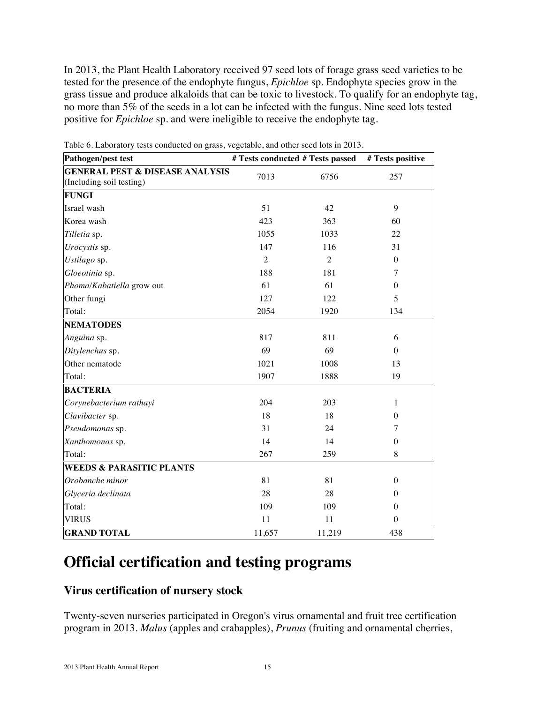In 2013, the Plant Health Laboratory received 97 seed lots of forage grass seed varieties to be tested for the presence of the endophyte fungus, *Epichloe* sp. Endophyte species grow in the grass tissue and produce alkaloids that can be toxic to livestock. To qualify for an endophyte tag, no more than 5% of the seeds in a lot can be infected with the fungus. Nine seed lots tested positive for *Epichloe* sp. and were ineligible to receive the endophyte tag.

| <b>Pathogen/pest test</b>                  | # Tests conducted # Tests passed |                | # Tests positive |
|--------------------------------------------|----------------------------------|----------------|------------------|
| <b>GENERAL PEST &amp; DISEASE ANALYSIS</b> | 7013                             | 6756           | 257              |
| (Including soil testing)                   |                                  |                |                  |
| <b>FUNGI</b>                               |                                  |                |                  |
| Israel wash                                | 51                               | 42             | 9                |
| Korea wash                                 | 423                              | 363            | 60               |
| Tilletia sp.                               | 1055                             | 1033           | 22               |
| Urocystis sp.                              | 147                              | 116            | 31               |
| Ustilago sp.                               | $\overline{2}$                   | $\overline{2}$ | $\boldsymbol{0}$ |
| Gloeotinia sp.                             | 188                              | 181            | $\tau$           |
| Phoma/Kabatiella grow out                  | 61                               | 61             | $\theta$         |
| Other fungi                                | 127                              | 122            | 5                |
| Total:                                     | 2054                             | 1920           | 134              |
| <b>NEMATODES</b>                           |                                  |                |                  |
| Anguina sp.                                | 817                              | 811            | 6                |
| Ditylenchus sp.                            | 69                               | 69             | $\Omega$         |
| Other nematode                             | 1021                             | 1008           | 13               |
| Total:                                     | 1907                             | 1888           | 19               |
| <b>BACTERIA</b>                            |                                  |                |                  |
| Corynebacterium rathayi                    | 204                              | 203            | $\mathbf{1}$     |
| Clavibacter sp.                            | 18                               | 18             | $\theta$         |
| Pseudomonas sp.                            | 31                               | 24             | $\tau$           |
| Xanthomonas sp.                            | 14                               | 14             | $\boldsymbol{0}$ |
| Total:                                     | 267                              | 259            | 8                |
| <b>WEEDS &amp; PARASITIC PLANTS</b>        |                                  |                |                  |
| Orobanche minor                            | 81                               | 81             | $\theta$         |
| Glyceria declinata                         | 28                               | 28             | $\theta$         |
| Total:                                     | 109                              | 109            | $\theta$         |
| VIRUS                                      | 11                               | 11             | $\Omega$         |
| <b>GRAND TOTAL</b>                         | 11,657                           | 11,219         | 438              |

Table 6. Laboratory tests conducted on grass, vegetable, and other seed lots in 2013.

# **Official certification and testing programs**

#### **Virus certification of nursery stock**

Twenty-seven nurseries participated in Oregon's virus ornamental and fruit tree certification program in 2013. *Malus* (apples and crabapples), *Prunus* (fruiting and ornamental cherries,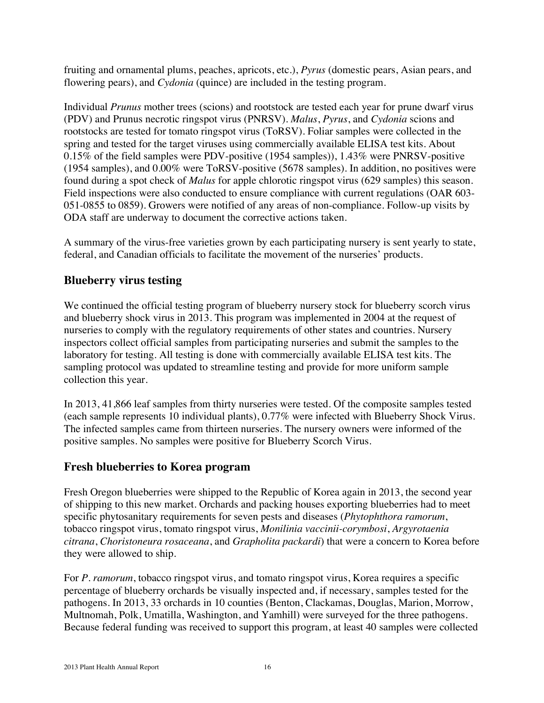fruiting and ornamental plums, peaches, apricots, etc.), *Pyrus* (domestic pears, Asian pears, and flowering pears), and *Cydonia* (quince) are included in the testing program.

Individual *Prunus* mother trees (scions) and rootstock are tested each year for prune dwarf virus (PDV) and Prunus necrotic ringspot virus (PNRSV). *Malus*, *Pyrus*, and *Cydonia* scions and rootstocks are tested for tomato ringspot virus (ToRSV). Foliar samples were collected in the spring and tested for the target viruses using commercially available ELISA test kits. About 0.15% of the field samples were PDV-positive (1954 samples)), 1.43% were PNRSV-positive (1954 samples), and 0.00% were ToRSV-positive (5678 samples). In addition, no positives were found during a spot check of *Malus* for apple chlorotic ringspot virus (629 samples) this season. Field inspections were also conducted to ensure compliance with current regulations (OAR 603- 051-0855 to 0859). Growers were notified of any areas of non-compliance. Follow-up visits by ODA staff are underway to document the corrective actions taken.

A summary of the virus-free varieties grown by each participating nursery is sent yearly to state, federal, and Canadian officials to facilitate the movement of the nurseries' products.

# **Blueberry virus testing**

We continued the official testing program of blueberry nursery stock for blueberry scorch virus and blueberry shock virus in 2013. This program was implemented in 2004 at the request of nurseries to comply with the regulatory requirements of other states and countries. Nursery inspectors collect official samples from participating nurseries and submit the samples to the laboratory for testing. All testing is done with commercially available ELISA test kits. The sampling protocol was updated to streamline testing and provide for more uniform sample collection this year.

In 2013, 41,866 leaf samples from thirty nurseries were tested. Of the composite samples tested (each sample represents 10 individual plants), 0.77% were infected with Blueberry Shock Virus. The infected samples came from thirteen nurseries. The nursery owners were informed of the positive samples. No samples were positive for Blueberry Scorch Virus.

# **Fresh blueberries to Korea program**

Fresh Oregon blueberries were shipped to the Republic of Korea again in 2013, the second year of shipping to this new market. Orchards and packing houses exporting blueberries had to meet specific phytosanitary requirements for seven pests and diseases (*Phytophthora ramorum*, tobacco ringspot virus, tomato ringspot virus, *Monilinia vaccinii-corymbosi*, *Argyrotaenia citrana*, *Choristoneura rosaceana*, and *Grapholita packardi*) that were a concern to Korea before they were allowed to ship.

For *P. ramorum*, tobacco ringspot virus, and tomato ringspot virus, Korea requires a specific percentage of blueberry orchards be visually inspected and, if necessary, samples tested for the pathogens. In 2013, 33 orchards in 10 counties (Benton, Clackamas, Douglas, Marion, Morrow, Multnomah, Polk, Umatilla, Washington, and Yamhill) were surveyed for the three pathogens. Because federal funding was received to support this program, at least 40 samples were collected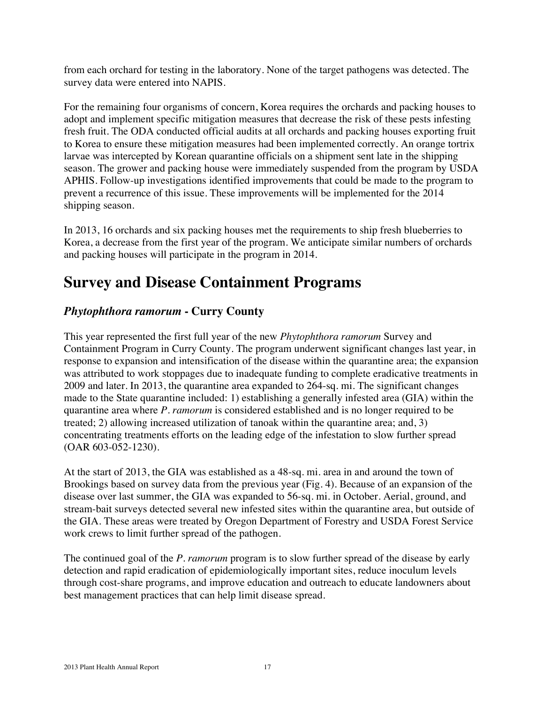from each orchard for testing in the laboratory. None of the target pathogens was detected. The survey data were entered into NAPIS.

For the remaining four organisms of concern, Korea requires the orchards and packing houses to adopt and implement specific mitigation measures that decrease the risk of these pests infesting fresh fruit. The ODA conducted official audits at all orchards and packing houses exporting fruit to Korea to ensure these mitigation measures had been implemented correctly. An orange tortrix larvae was intercepted by Korean quarantine officials on a shipment sent late in the shipping season. The grower and packing house were immediately suspended from the program by USDA APHIS. Follow-up investigations identified improvements that could be made to the program to prevent a recurrence of this issue. These improvements will be implemented for the 2014 shipping season.

In 2013, 16 orchards and six packing houses met the requirements to ship fresh blueberries to Korea, a decrease from the first year of the program. We anticipate similar numbers of orchards and packing houses will participate in the program in 2014.

# **Survey and Disease Containment Programs**

# *Phytophthora ramorum* **- Curry County**

This year represented the first full year of the new *Phytophthora ramorum* Survey and Containment Program in Curry County. The program underwent significant changes last year, in response to expansion and intensification of the disease within the quarantine area; the expansion was attributed to work stoppages due to inadequate funding to complete eradicative treatments in 2009 and later. In 2013, the quarantine area expanded to 264-sq. mi. The significant changes made to the State quarantine included: 1) establishing a generally infested area (GIA) within the quarantine area where *P. ramorum* is considered established and is no longer required to be treated; 2) allowing increased utilization of tanoak within the quarantine area; and, 3) concentrating treatments efforts on the leading edge of the infestation to slow further spread (OAR 603-052-1230).

At the start of 2013, the GIA was established as a 48-sq. mi. area in and around the town of Brookings based on survey data from the previous year (Fig. 4). Because of an expansion of the disease over last summer, the GIA was expanded to 56-sq. mi. in October. Aerial, ground, and stream-bait surveys detected several new infested sites within the quarantine area, but outside of the GIA. These areas were treated by Oregon Department of Forestry and USDA Forest Service work crews to limit further spread of the pathogen.

The continued goal of the *P. ramorum* program is to slow further spread of the disease by early detection and rapid eradication of epidemiologically important sites, reduce inoculum levels through cost-share programs, and improve education and outreach to educate landowners about best management practices that can help limit disease spread.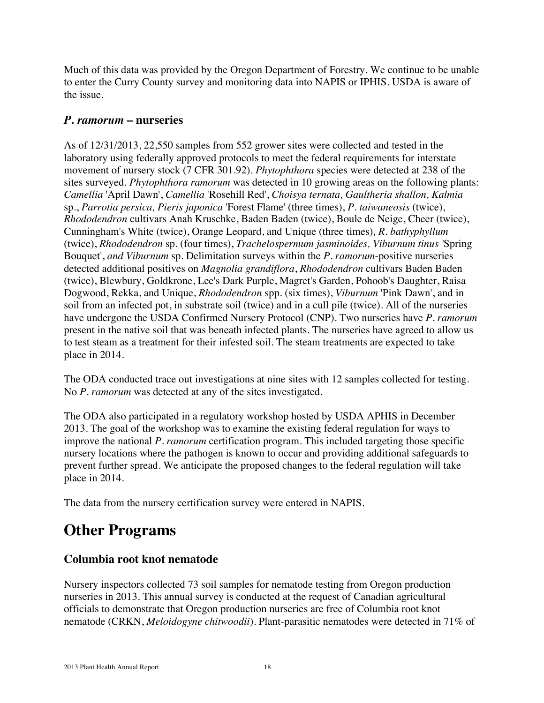Much of this data was provided by the Oregon Department of Forestry. We continue to be unable to enter the Curry County survey and monitoring data into NAPIS or IPHIS. USDA is aware of the issue.

### *P. ramorum* **– nurseries**

As of 12/31/2013, 22,550 samples from 552 grower sites were collected and tested in the laboratory using federally approved protocols to meet the federal requirements for interstate movement of nursery stock (7 CFR 301.92). *Phytophthora* species were detected at 238 of the sites surveyed. *Phytophthora ramorum* was detected in 10 growing areas on the following plants: *Camellia* 'April Dawn', *Camellia* 'Rosehill Red', *Choisya ternata, Gaultheria shallon, Kalmia*  sp., *Parrotia persica, Pieris japonica* 'Forest Flame' (three times), *P. taiwaneosis* (twice), *Rhododendron* cultivars Anah Kruschke, Baden Baden (twice), Boule de Neige, Cheer (twice), Cunningham's White (twice), Orange Leopard, and Unique (three times)*, R. bathyphyllum* (twice), *Rhododendron* sp. (four times), *Trachelospermum jasminoides, Viburnum tinus '*Spring Bouquet', *and Viburnum* sp. Delimitation surveys within the *P. ramorum*-positive nurseries detected additional positives on *Magnolia grandiflora*, *Rhododendron* cultivars Baden Baden (twice), Blewbury, Goldkrone, Lee's Dark Purple, Magret's Garden, Pohoob's Daughter, Raisa Dogwood, Rekka, and Unique, *Rhododendron* spp. (six times), *Viburnum* 'Pink Dawn', and in soil from an infected pot, in substrate soil (twice) and in a cull pile (twice). All of the nurseries have undergone the USDA Confirmed Nursery Protocol (CNP). Two nurseries have *P. ramorum* present in the native soil that was beneath infected plants. The nurseries have agreed to allow us to test steam as a treatment for their infested soil. The steam treatments are expected to take place in 2014.

The ODA conducted trace out investigations at nine sites with 12 samples collected for testing. No *P. ramorum* was detected at any of the sites investigated.

The ODA also participated in a regulatory workshop hosted by USDA APHIS in December 2013. The goal of the workshop was to examine the existing federal regulation for ways to improve the national *P. ramorum* certification program. This included targeting those specific nursery locations where the pathogen is known to occur and providing additional safeguards to prevent further spread. We anticipate the proposed changes to the federal regulation will take place in 2014.

The data from the nursery certification survey were entered in NAPIS.

# **Other Programs**

# **Columbia root knot nematode**

Nursery inspectors collected 73 soil samples for nematode testing from Oregon production nurseries in 2013. This annual survey is conducted at the request of Canadian agricultural officials to demonstrate that Oregon production nurseries are free of Columbia root knot nematode (CRKN, *Meloidogyne chitwoodii*). Plant-parasitic nematodes were detected in 71% of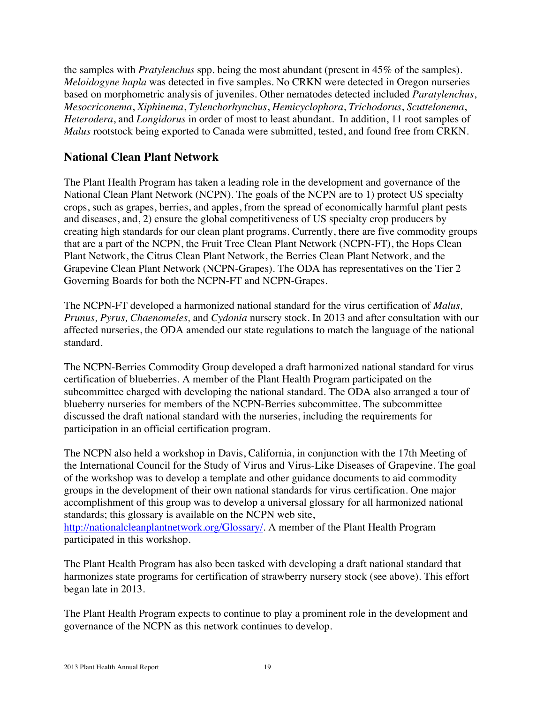the samples with *Pratylenchus* spp. being the most abundant (present in 45% of the samples). *Meloidogyne hapla* was detected in five samples. No CRKN were detected in Oregon nurseries based on morphometric analysis of juveniles. Other nematodes detected included *Paratylenchus*, *Mesocriconema*, *Xiphinema*, *Tylenchorhynchus*, *Hemicyclophora*, *Trichodorus*, *Scuttelonema*, *Heterodera*, and *Longidorus* in order of most to least abundant. In addition, 11 root samples of *Malus* rootstock being exported to Canada were submitted, tested, and found free from CRKN.

### **National Clean Plant Network**

The Plant Health Program has taken a leading role in the development and governance of the National Clean Plant Network (NCPN). The goals of the NCPN are to 1) protect US specialty crops, such as grapes, berries, and apples, from the spread of economically harmful plant pests and diseases, and, 2) ensure the global competitiveness of US specialty crop producers by creating high standards for our clean plant programs. Currently, there are five commodity groups that are a part of the NCPN, the Fruit Tree Clean Plant Network (NCPN-FT), the Hops Clean Plant Network, the Citrus Clean Plant Network, the Berries Clean Plant Network, and the Grapevine Clean Plant Network (NCPN-Grapes). The ODA has representatives on the Tier 2 Governing Boards for both the NCPN-FT and NCPN-Grapes.

The NCPN-FT developed a harmonized national standard for the virus certification of *Malus, Prunus, Pyrus, Chaenomeles,* and *Cydonia* nursery stock. In 2013 and after consultation with our affected nurseries, the ODA amended our state regulations to match the language of the national standard.

The NCPN-Berries Commodity Group developed a draft harmonized national standard for virus certification of blueberries. A member of the Plant Health Program participated on the subcommittee charged with developing the national standard. The ODA also arranged a tour of blueberry nurseries for members of the NCPN-Berries subcommittee. The subcommittee discussed the draft national standard with the nurseries, including the requirements for participation in an official certification program.

The NCPN also held a workshop in Davis, California, in conjunction with the 17th Meeting of the International Council for the Study of Virus and Virus-Like Diseases of Grapevine. The goal of the workshop was to develop a template and other guidance documents to aid commodity groups in the development of their own national standards for virus certification. One major accomplishment of this group was to develop a universal glossary for all harmonized national standards; this glossary is available on the NCPN web site, http://nationalcleanplantnetwork.org/Glossary/. A member of the Plant Health Program participated in this workshop.

The Plant Health Program has also been tasked with developing a draft national standard that harmonizes state programs for certification of strawberry nursery stock (see above). This effort began late in 2013.

The Plant Health Program expects to continue to play a prominent role in the development and governance of the NCPN as this network continues to develop.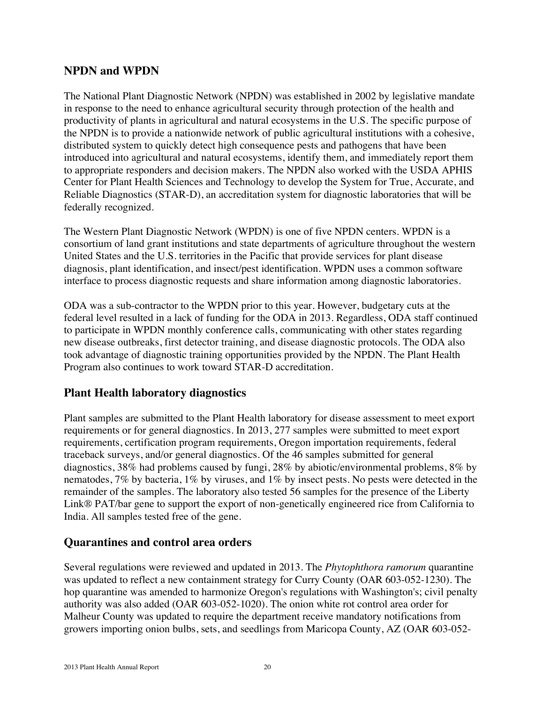### **NPDN and WPDN**

The National Plant Diagnostic Network (NPDN) was established in 2002 by legislative mandate in response to the need to enhance agricultural security through protection of the health and productivity of plants in agricultural and natural ecosystems in the U.S. The specific purpose of the NPDN is to provide a nationwide network of public agricultural institutions with a cohesive, distributed system to quickly detect high consequence pests and pathogens that have been introduced into agricultural and natural ecosystems, identify them, and immediately report them to appropriate responders and decision makers. The NPDN also worked with the USDA APHIS Center for Plant Health Sciences and Technology to develop the System for True, Accurate, and Reliable Diagnostics (STAR-D), an accreditation system for diagnostic laboratories that will be federally recognized.

The Western Plant Diagnostic Network (WPDN) is one of five NPDN centers. WPDN is a consortium of land grant institutions and state departments of agriculture throughout the western United States and the U.S. territories in the Pacific that provide services for plant disease diagnosis, plant identification, and insect/pest identification. WPDN uses a common software interface to process diagnostic requests and share information among diagnostic laboratories.

ODA was a sub-contractor to the WPDN prior to this year. However, budgetary cuts at the federal level resulted in a lack of funding for the ODA in 2013. Regardless, ODA staff continued to participate in WPDN monthly conference calls, communicating with other states regarding new disease outbreaks, first detector training, and disease diagnostic protocols. The ODA also took advantage of diagnostic training opportunities provided by the NPDN. The Plant Health Program also continues to work toward STAR-D accreditation.

# **Plant Health laboratory diagnostics**

Plant samples are submitted to the Plant Health laboratory for disease assessment to meet export requirements or for general diagnostics. In 2013, 277 samples were submitted to meet export requirements, certification program requirements, Oregon importation requirements, federal traceback surveys, and/or general diagnostics. Of the 46 samples submitted for general diagnostics, 38% had problems caused by fungi, 28% by abiotic/environmental problems, 8% by nematodes, 7% by bacteria, 1% by viruses, and 1% by insect pests. No pests were detected in the remainder of the samples. The laboratory also tested 56 samples for the presence of the Liberty Link® PAT/bar gene to support the export of non-genetically engineered rice from California to India. All samples tested free of the gene.

#### **Quarantines and control area orders**

Several regulations were reviewed and updated in 2013. The *Phytophthora ramorum* quarantine was updated to reflect a new containment strategy for Curry County (OAR 603-052-1230). The hop quarantine was amended to harmonize Oregon's regulations with Washington's; civil penalty authority was also added (OAR 603-052-1020). The onion white rot control area order for Malheur County was updated to require the department receive mandatory notifications from growers importing onion bulbs, sets, and seedlings from Maricopa County, AZ (OAR 603-052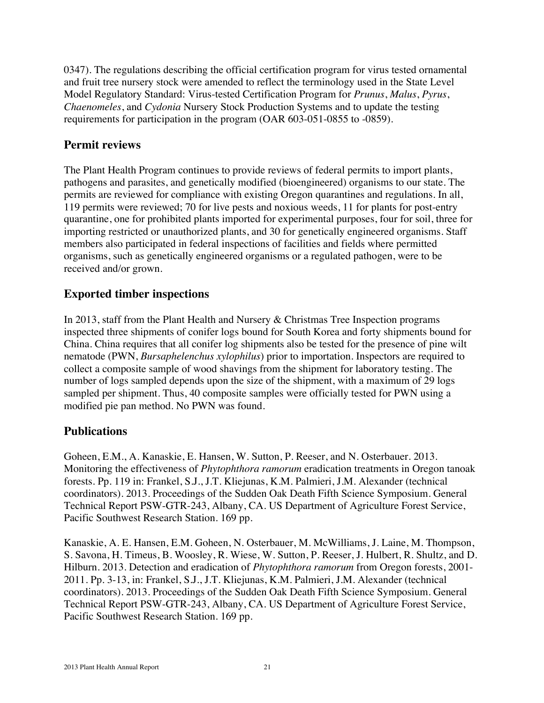0347). The regulations describing the official certification program for virus tested ornamental and fruit tree nursery stock were amended to reflect the terminology used in the State Level Model Regulatory Standard: Virus-tested Certification Program for *Prunus*, *Malus*, *Pyrus*, *Chaenomeles*, and *Cydonia* Nursery Stock Production Systems and to update the testing requirements for participation in the program (OAR 603-051-0855 to -0859).

# **Permit reviews**

The Plant Health Program continues to provide reviews of federal permits to import plants, pathogens and parasites, and genetically modified (bioengineered) organisms to our state. The permits are reviewed for compliance with existing Oregon quarantines and regulations. In all, 119 permits were reviewed; 70 for live pests and noxious weeds, 11 for plants for post-entry quarantine, one for prohibited plants imported for experimental purposes, four for soil, three for importing restricted or unauthorized plants, and 30 for genetically engineered organisms. Staff members also participated in federal inspections of facilities and fields where permitted organisms, such as genetically engineered organisms or a regulated pathogen, were to be received and/or grown.

# **Exported timber inspections**

In 2013, staff from the Plant Health and Nursery & Christmas Tree Inspection programs inspected three shipments of conifer logs bound for South Korea and forty shipments bound for China. China requires that all conifer log shipments also be tested for the presence of pine wilt nematode (PWN, *Bursaphelenchus xylophilus*) prior to importation. Inspectors are required to collect a composite sample of wood shavings from the shipment for laboratory testing. The number of logs sampled depends upon the size of the shipment, with a maximum of 29 logs sampled per shipment. Thus, 40 composite samples were officially tested for PWN using a modified pie pan method. No PWN was found.

# **Publications**

Goheen, E.M., A. Kanaskie, E. Hansen, W. Sutton, P. Reeser, and N. Osterbauer. 2013. Monitoring the effectiveness of *Phytophthora ramorum* eradication treatments in Oregon tanoak forests. Pp. 119 in: Frankel, S.J., J.T. Kliejunas, K.M. Palmieri, J.M. Alexander (technical coordinators). 2013. Proceedings of the Sudden Oak Death Fifth Science Symposium. General Technical Report PSW-GTR-243, Albany, CA. US Department of Agriculture Forest Service, Pacific Southwest Research Station. 169 pp.

Kanaskie, A. E. Hansen, E.M. Goheen, N. Osterbauer, M. McWilliams, J. Laine, M. Thompson, S. Savona, H. Timeus, B. Woosley, R. Wiese, W. Sutton, P. Reeser, J. Hulbert, R. Shultz, and D. Hilburn. 2013. Detection and eradication of *Phytophthora ramorum* from Oregon forests, 2001- 2011. Pp. 3-13, in: Frankel, S.J., J.T. Kliejunas, K.M. Palmieri, J.M. Alexander (technical coordinators). 2013. Proceedings of the Sudden Oak Death Fifth Science Symposium. General Technical Report PSW-GTR-243, Albany, CA. US Department of Agriculture Forest Service, Pacific Southwest Research Station. 169 pp.